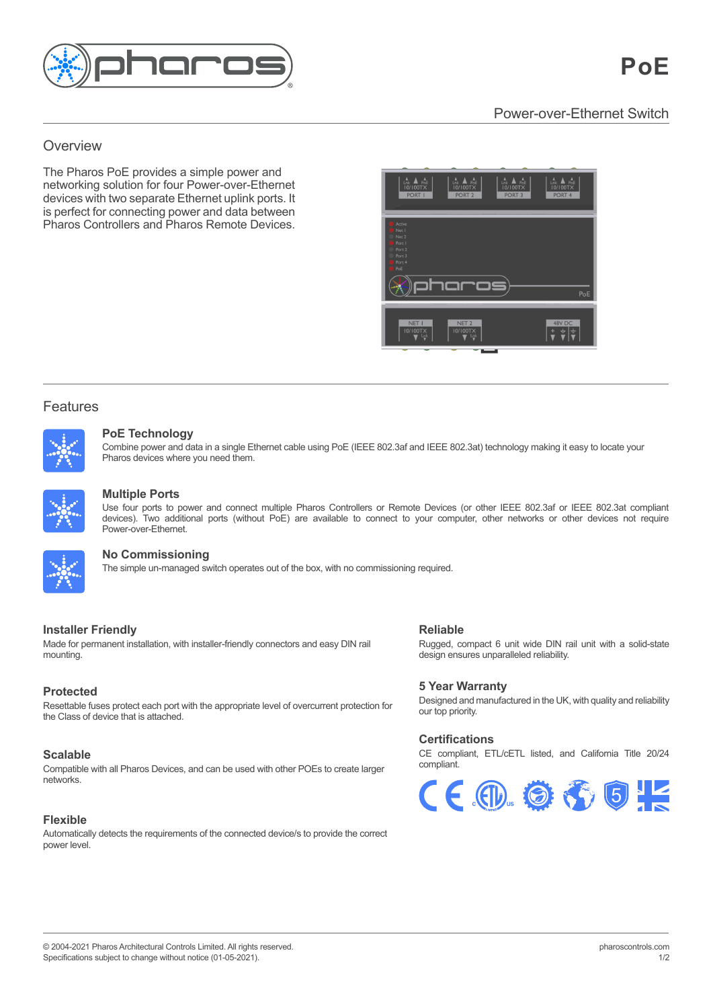

# Power-over-Ethernet Switch Power-over-Ethernet Switch

### and independently running timelines and scenes, Overview **Overview**

customisable pre-programmed lighting effects The Pharos PoE provides a simple power and networking solution for four Power-over-Ethernet integration features. devices with two separate Ethernet uplink ports. It devices with two separate Ethernet uplink ports. It is perfect for connecting power and data between is perfect for connecting power and data between Pharos Controllers and Pharos Remote Devices. Pharos Controllers and Pharos Remote Devices.

installations. It features individually controllable



## Features

Features and the second



### visually striking effects or play video across the entire array. Powerful controls allow you to build maps fast with pixel-precise adjustment. Multiple maps can be created to support different zones or for modelling different views of your installation. The support of your installation of your installation. The support of your installation of your installation. T PoE Technology

Pharos devices where you need them.<br> **Multiple Ports** Combine power and data in a single Ethernet cable using PoE (IEEE 802.3af and IEEE 802.3at) technology making it easy to locate your



#### Pharos Trigger is a rules engine that uses conditional logic and a broad range of interfaces and protocols. Send and receive any command, to and from any system. Conditional logic is supported, and  $\alpha$  powerful built-in scripting language for unlimited flexibility. The powerful built-in scripting language for unlimited flexibility. The system of unlimited fle **Multiple Ports**  $d_{\mathcal{E}}$  Poe) are available to connect to  $\mathcal{E}$  are available to  $\mathcal{E}$

devices). Two additional ports (without PoE) are available to connect to your computer, other networks or other devices not require<br>Power-over-Fthernet Use four ports to power and connect multiple Pharos Controllers or Remote Devices (or other IEEE 802.3af or IEEE 802.3at compliant Power-over-Ethernet.  $T$  simple un-managed switch operation of the box, with no commissioning required.



# **there is a standard Ethernet network giving input standard Ethernet network giving input scalability. For a standard Ethernet network giving input scalability. For a standard Ethernet network giving input scalability. For**

 $\mathbf{a}_{\mathbf{a}}$  is a discrete Deministration options simply add Remote Devices to  $\mathbf{a}_{\mathbf{a}}$ WHETHER ONE CONTROLLER ONE CONTROLLER ONE CONTROLLER ONE OF MANY AND THE SIMULE SOFTWARE USING ONE CONTROLLER SOFTWARE. **The simple un-managed switch operates out of the box, with no commissioning required.** 

### **Installer Friendly and control of flexibility and control of flexibility and control of**  $\mathbb{R}$ **eliable**  $\mathbf P$ er Friendi $\mathbf P$ ort with the appropriate level of overcurrent protection for overcurrent protection for over

Made for permanent installation, with installer-friendly connectors and easy DIN rail mounting. **Scalable**

# **Protected**

Resettable fuses protect each port with the appropriate level of overcurrent protection for resenable history protect each port with the appropriate level of overcurrent protection for<br>the Class of device that is attached.

### Create a custom web interface for your installation that gives your users the control they need and they expect. Our built-in web server supports and they extensive Java Script and extensive Java Script and the server supports and the server supports and the server supports and the server supports and the server **Scalable**

Compatible with all Pharos Devices, and can be used with other POEs to create larger networks.

### **Flexible**

the correct controls. Automatically detects the requirements of the connected device/s to provide the correct power level.

## **Reliable**

Rugged, compact 6 unit wide DIN rail unit with a solid-state design ensures unparalleled reliability.<br>**Certifications** 

## **5 Year Warranty**

Designed and manufactured in the UK, with quality and Designed and manufactured in the UK, with quality and reliability our top priority.

# **Certifications Certifications**

CE compliant, ETL/cETL listed, and California Title 20/24 CE compliant, ETL/cETL listed, and California Title 20/24 compliant. compliant.